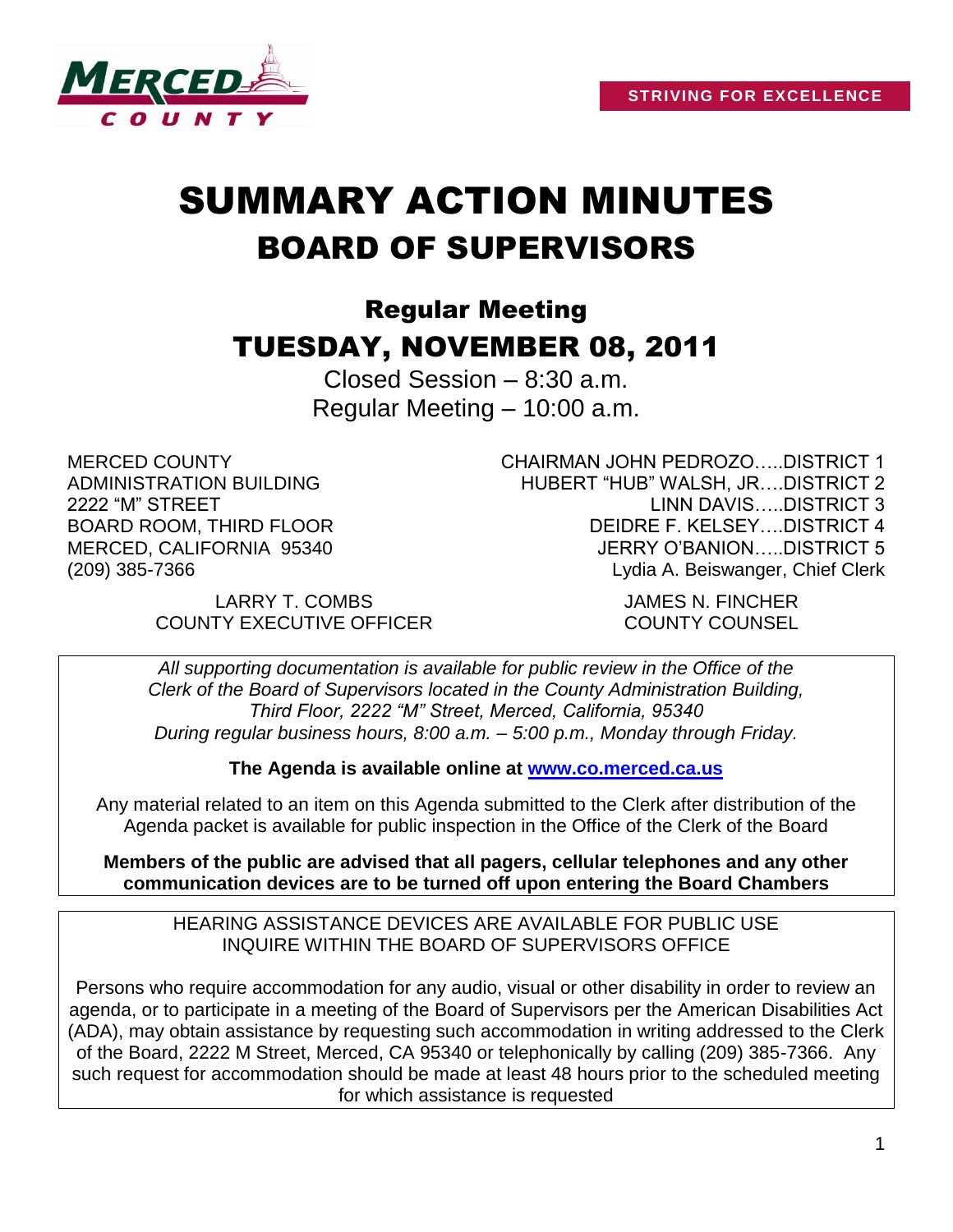

# SUMMARY ACTION MINUTES BOARD OF SUPERVISORS

## Regular Meeting TUESDAY, NOVEMBER 08, 2011

Closed Session – 8:30 a.m. Regular Meeting – 10:00 a.m.

MERCED COUNTY ADMINISTRATION BUILDING 2222 "M" STREET BOARD ROOM, THIRD FLOOR MERCED, CALIFORNIA 95340 (209) 385-7366

CHAIRMAN JOHN PEDROZO…..DISTRICT 1 HUBERT "HUB" WALSH, JR….DISTRICT 2 LINN DAVIS…..DISTRICT 3 DEIDRE F. KELSEY….DISTRICT 4 JERRY O'BANION…..DISTRICT 5 Lydia A. Beiswanger, Chief Clerk

LARRY T. COMBS JAMES N. FINCHER COUNTY EXECUTIVE OFFICER COUNTY COUNSEL

*All supporting documentation is available for public review in the Office of the Clerk of the Board of Supervisors located in the County Administration Building, Third Floor, 2222 "M" Street, Merced, California, 95340 During regular business hours, 8:00 a.m. – 5:00 p.m., Monday through Friday.*

**The Agenda is available online at [www.co.merced.ca.us](http://www.co.merced.ca.us/)**

Any material related to an item on this Agenda submitted to the Clerk after distribution of the Agenda packet is available for public inspection in the Office of the Clerk of the Board

**Members of the public are advised that all pagers, cellular telephones and any other communication devices are to be turned off upon entering the Board Chambers**

HEARING ASSISTANCE DEVICES ARE AVAILABLE FOR PUBLIC USE INQUIRE WITHIN THE BOARD OF SUPERVISORS OFFICE

Persons who require accommodation for any audio, visual or other disability in order to review an agenda, or to participate in a meeting of the Board of Supervisors per the American Disabilities Act (ADA), may obtain assistance by requesting such accommodation in writing addressed to the Clerk of the Board, 2222 M Street, Merced, CA 95340 or telephonically by calling (209) 385-7366. Any such request for accommodation should be made at least 48 hours prior to the scheduled meeting for which assistance is requested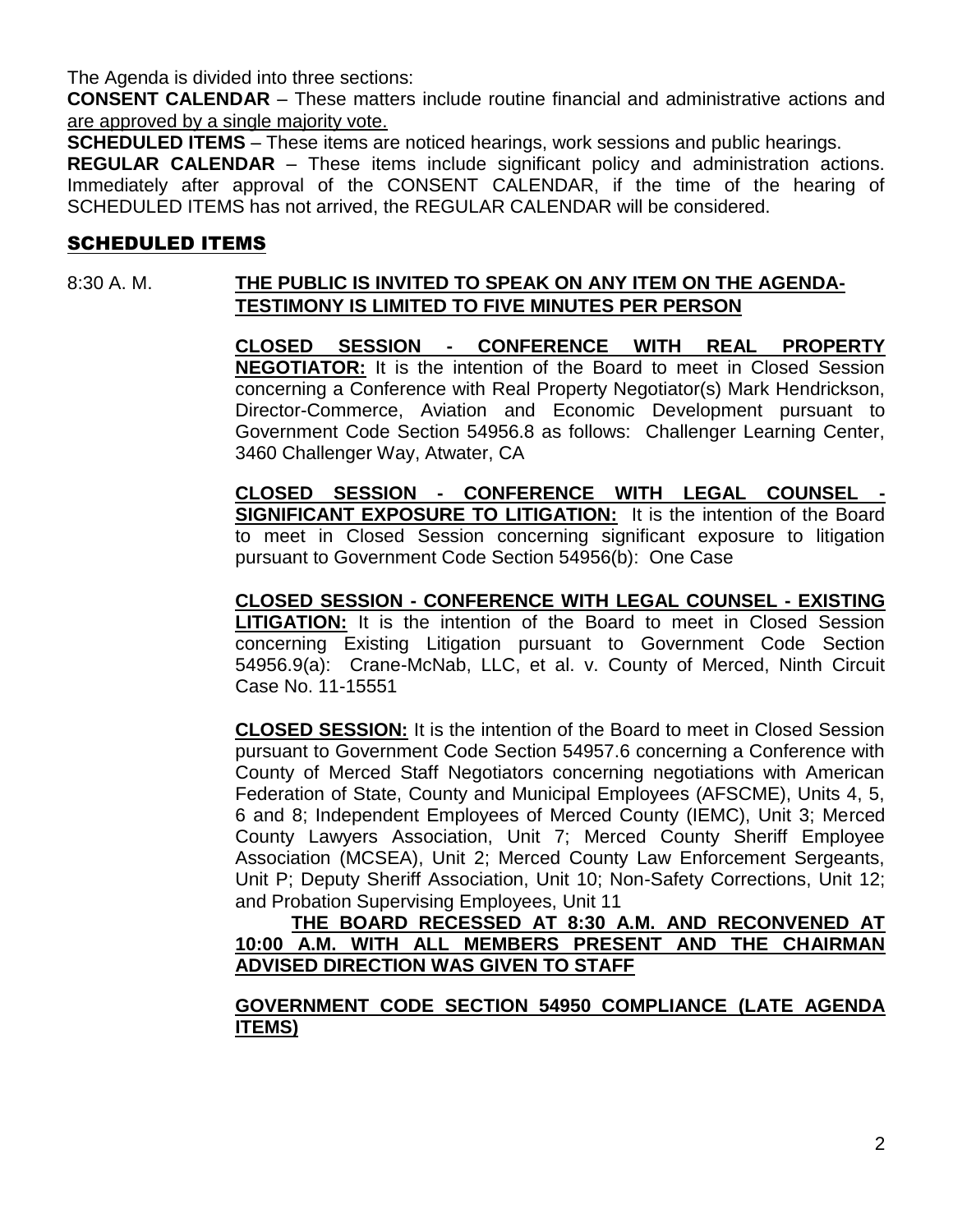The Agenda is divided into three sections:

**CONSENT CALENDAR** – These matters include routine financial and administrative actions and are approved by a single majority vote.

**SCHEDULED ITEMS** – These items are noticed hearings, work sessions and public hearings.

**REGULAR CALENDAR** – These items include significant policy and administration actions. Immediately after approval of the CONSENT CALENDAR, if the time of the hearing of SCHEDULED ITEMS has not arrived, the REGULAR CALENDAR will be considered.

#### SCHEDULED ITEMS

#### 8:30 A. M. **THE PUBLIC IS INVITED TO SPEAK ON ANY ITEM ON THE AGENDA-TESTIMONY IS LIMITED TO FIVE MINUTES PER PERSON**

**CLOSED SESSION - CONFERENCE WITH REAL PROPERTY NEGOTIATOR:** It is the intention of the Board to meet in Closed Session concerning a Conference with Real Property Negotiator(s) Mark Hendrickson, Director-Commerce, Aviation and Economic Development pursuant to Government Code Section 54956.8 as follows: Challenger Learning Center, 3460 Challenger Way, Atwater, CA

**CLOSED SESSION - CONFERENCE WITH LEGAL COUNSEL - SIGNIFICANT EXPOSURE TO LITIGATION:** It is the intention of the Board to meet in Closed Session concerning significant exposure to litigation pursuant to Government Code Section 54956(b): One Case

**CLOSED SESSION - CONFERENCE WITH LEGAL COUNSEL - EXISTING LITIGATION:** It is the intention of the Board to meet in Closed Session concerning Existing Litigation pursuant to Government Code Section 54956.9(a): Crane-McNab, LLC, et al. v. County of Merced, Ninth Circuit Case No. 11-15551

**CLOSED SESSION:** It is the intention of the Board to meet in Closed Session pursuant to Government Code Section 54957.6 concerning a Conference with County of Merced Staff Negotiators concerning negotiations with American Federation of State, County and Municipal Employees (AFSCME), Units 4, 5, 6 and 8; Independent Employees of Merced County (IEMC), Unit 3; Merced County Lawyers Association, Unit 7; Merced County Sheriff Employee Association (MCSEA), Unit 2; Merced County Law Enforcement Sergeants, Unit P; Deputy Sheriff Association, Unit 10; Non-Safety Corrections, Unit 12; and Probation Supervising Employees, Unit 11

**THE BOARD RECESSED AT 8:30 A.M. AND RECONVENED AT 10:00 A.M. WITH ALL MEMBERS PRESENT AND THE CHAIRMAN ADVISED DIRECTION WAS GIVEN TO STAFF**

**GOVERNMENT CODE SECTION 54950 COMPLIANCE (LATE AGENDA ITEMS)**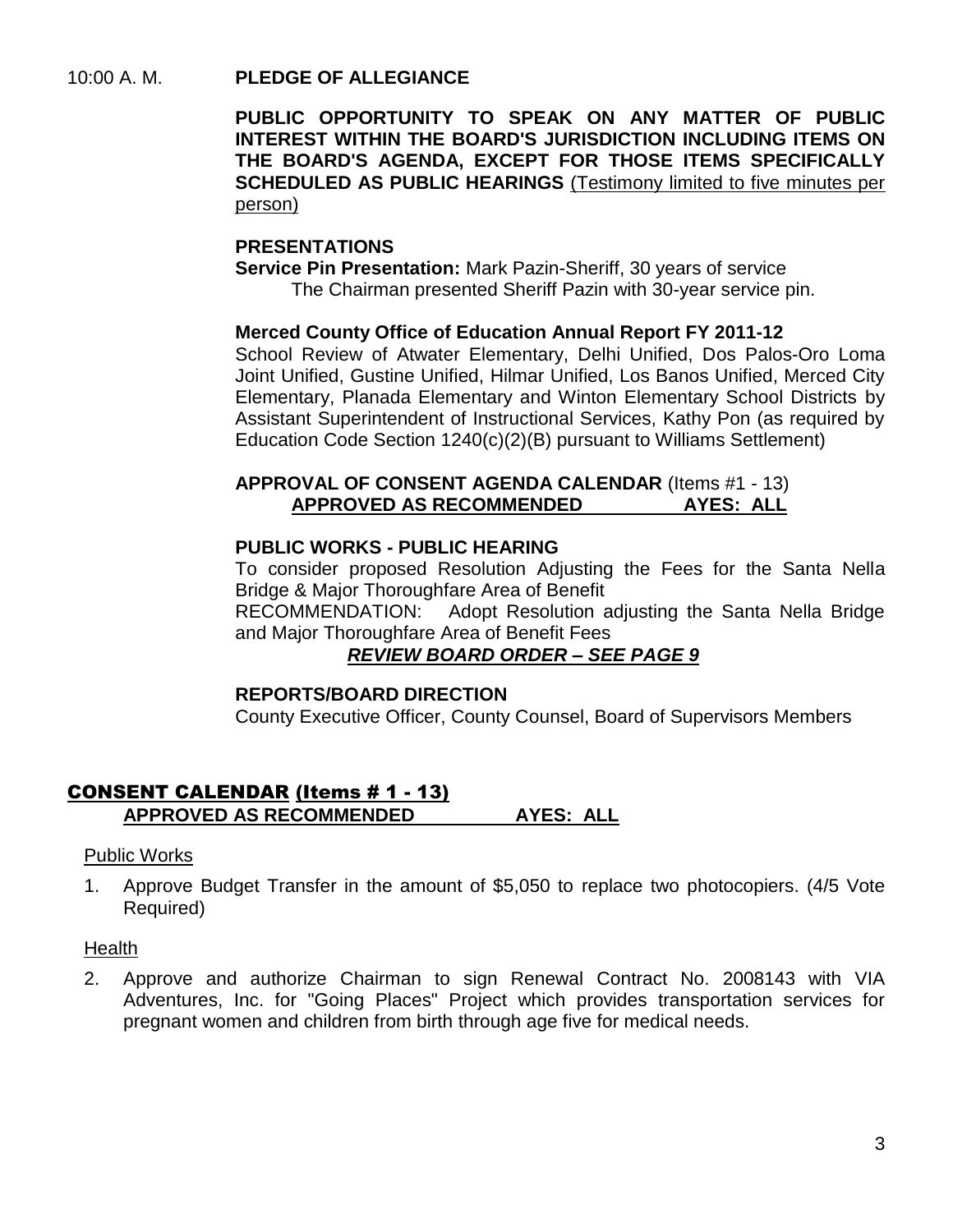10:00 A. M. **PLEDGE OF ALLEGIANCE**

**PUBLIC OPPORTUNITY TO SPEAK ON ANY MATTER OF PUBLIC INTEREST WITHIN THE BOARD'S JURISDICTION INCLUDING ITEMS ON THE BOARD'S AGENDA, EXCEPT FOR THOSE ITEMS SPECIFICALLY SCHEDULED AS PUBLIC HEARINGS** (Testimony limited to five minutes per person)

#### **PRESENTATIONS**

**Service Pin Presentation:** Mark Pazin-Sheriff, 30 years of service The Chairman presented Sheriff Pazin with 30-year service pin.

#### **Merced County Office of Education Annual Report FY 2011-12**

School Review of Atwater Elementary, Delhi Unified, Dos Palos-Oro Loma Joint Unified, Gustine Unified, Hilmar Unified, Los Banos Unified, Merced City Elementary, Planada Elementary and Winton Elementary School Districts by Assistant Superintendent of Instructional Services, Kathy Pon (as required by Education Code Section 1240(c)(2)(B) pursuant to Williams Settlement)

#### **APPROVAL OF CONSENT AGENDA CALENDAR** (Items #1 - 13) **APPROVED AS RECOMMENDED AYES: ALL**

#### **PUBLIC WORKS - PUBLIC HEARING**

To consider proposed Resolution Adjusting the Fees for the Santa Nella Bridge & Major Thoroughfare Area of Benefit

RECOMMENDATION: Adopt Resolution adjusting the Santa Nella Bridge and Major Thoroughfare Area of Benefit Fees

#### *REVIEW BOARD ORDER – SEE PAGE 9*

#### **REPORTS/BOARD DIRECTION**

County Executive Officer, County Counsel, Board of Supervisors Members

#### CONSENT CALENDAR (Items # 1 - 13) **APPROVED AS RECOMMENDED AYES: ALL**

#### Public Works

1. Approve Budget Transfer in the amount of \$5,050 to replace two photocopiers. (4/5 Vote Required)

#### Health

2. Approve and authorize Chairman to sign Renewal Contract No. 2008143 with VIA Adventures, Inc. for "Going Places" Project which provides transportation services for pregnant women and children from birth through age five for medical needs.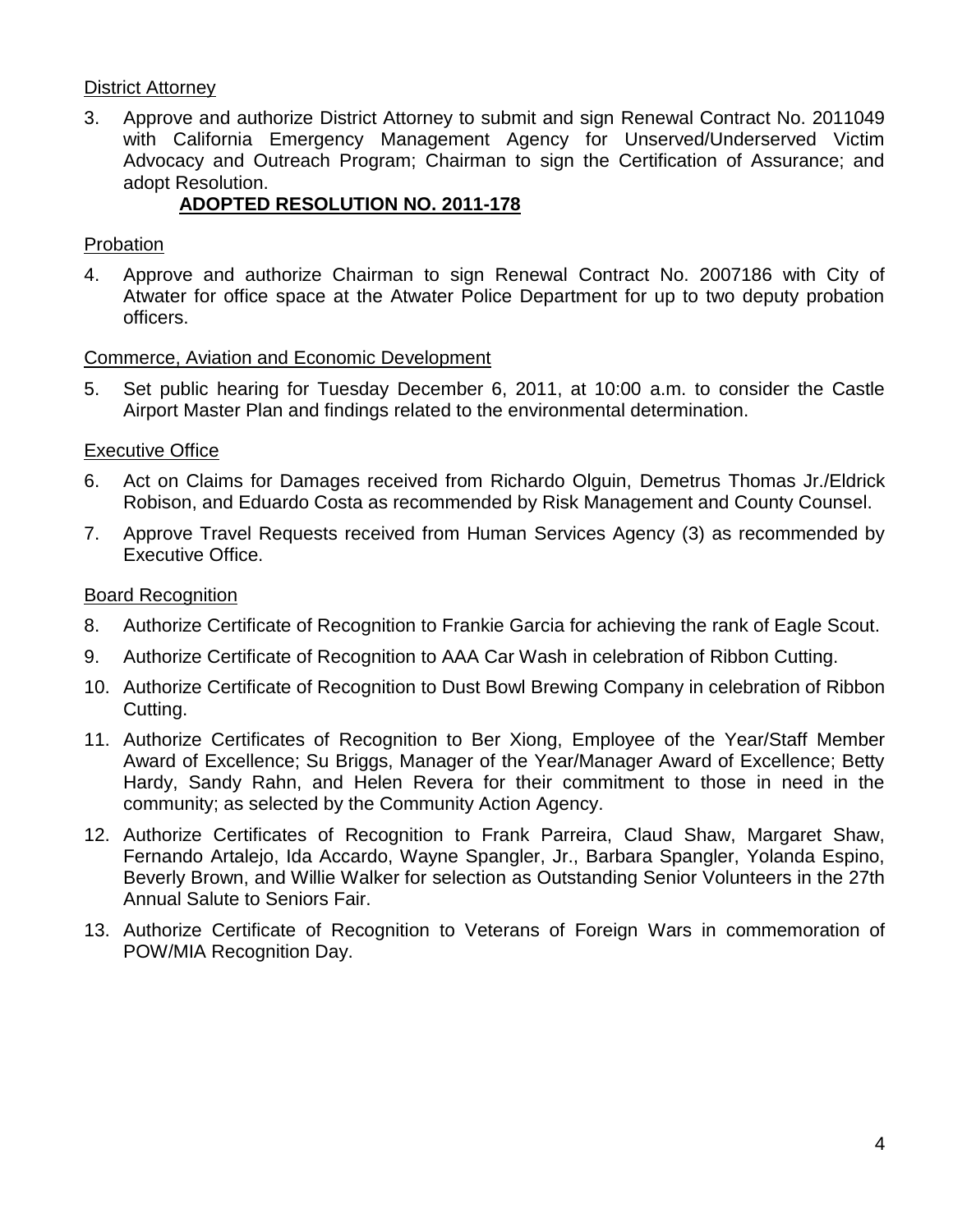#### District Attorney

3. Approve and authorize District Attorney to submit and sign Renewal Contract No. 2011049 with California Emergency Management Agency for Unserved/Underserved Victim Advocacy and Outreach Program; Chairman to sign the Certification of Assurance; and adopt Resolution.

#### **ADOPTED RESOLUTION NO. 2011-178**

#### Probation

4. Approve and authorize Chairman to sign Renewal Contract No. 2007186 with City of Atwater for office space at the Atwater Police Department for up to two deputy probation officers.

#### Commerce, Aviation and Economic Development

5. Set public hearing for Tuesday December 6, 2011, at 10:00 a.m. to consider the Castle Airport Master Plan and findings related to the environmental determination.

#### Executive Office

- 6. Act on Claims for Damages received from Richardo Olguin, Demetrus Thomas Jr./Eldrick Robison, and Eduardo Costa as recommended by Risk Management and County Counsel.
- 7. Approve Travel Requests received from Human Services Agency (3) as recommended by Executive Office.

#### Board Recognition

- 8. Authorize Certificate of Recognition to Frankie Garcia for achieving the rank of Eagle Scout.
- 9. Authorize Certificate of Recognition to AAA Car Wash in celebration of Ribbon Cutting.
- 10. Authorize Certificate of Recognition to Dust Bowl Brewing Company in celebration of Ribbon Cutting.
- 11. Authorize Certificates of Recognition to Ber Xiong, Employee of the Year/Staff Member Award of Excellence; Su Briggs, Manager of the Year/Manager Award of Excellence; Betty Hardy, Sandy Rahn, and Helen Revera for their commitment to those in need in the community; as selected by the Community Action Agency.
- 12. Authorize Certificates of Recognition to Frank Parreira, Claud Shaw, Margaret Shaw, Fernando Artalejo, Ida Accardo, Wayne Spangler, Jr., Barbara Spangler, Yolanda Espino, Beverly Brown, and Willie Walker for selection as Outstanding Senior Volunteers in the 27th Annual Salute to Seniors Fair.
- 13. Authorize Certificate of Recognition to Veterans of Foreign Wars in commemoration of POW/MIA Recognition Day.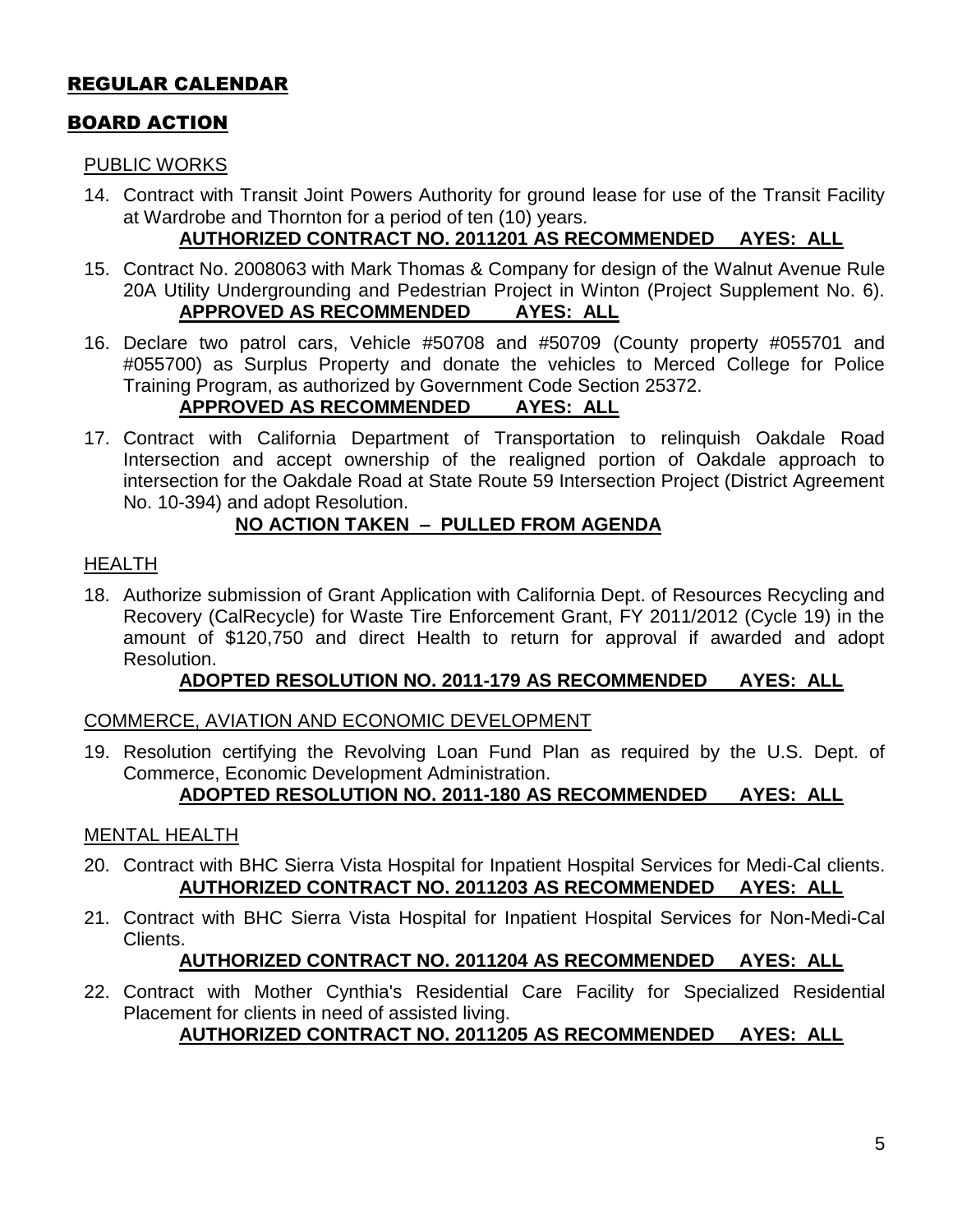#### REGULAR CALENDAR

#### BOARD ACTION

#### PUBLIC WORKS

14. Contract with Transit Joint Powers Authority for ground lease for use of the Transit Facility at Wardrobe and Thornton for a period of ten (10) years.

#### **AUTHORIZED CONTRACT NO. 2011201 AS RECOMMENDED AYES: ALL**

- 15. Contract No. 2008063 with Mark Thomas & Company for design of the Walnut Avenue Rule 20A Utility Undergrounding and Pedestrian Project in Winton (Project Supplement No. 6). **APPROVED AS RECOMMENDED AYES: ALL**
- 16. Declare two patrol cars, Vehicle #50708 and #50709 (County property #055701 and #055700) as Surplus Property and donate the vehicles to Merced College for Police Training Program, as authorized by Government Code Section 25372.

#### **APPROVED AS RECOMMENDED AYES: ALL**

17. Contract with California Department of Transportation to relinquish Oakdale Road Intersection and accept ownership of the realigned portion of Oakdale approach to intersection for the Oakdale Road at State Route 59 Intersection Project (District Agreement No. 10-394) and adopt Resolution.

#### **NO ACTION TAKEN – PULLED FROM AGENDA**

#### HEALTH

18. Authorize submission of Grant Application with California Dept. of Resources Recycling and Recovery (CalRecycle) for Waste Tire Enforcement Grant, FY 2011/2012 (Cycle 19) in the amount of \$120,750 and direct Health to return for approval if awarded and adopt Resolution.

#### **ADOPTED RESOLUTION NO. 2011-179 AS RECOMMENDED AYES: ALL**

#### COMMERCE, AVIATION AND ECONOMIC DEVELOPMENT

19. Resolution certifying the Revolving Loan Fund Plan as required by the U.S. Dept. of Commerce, Economic Development Administration.

#### **ADOPTED RESOLUTION NO. 2011-180 AS RECOMMENDED AYES: ALL**

#### MENTAL HEALTH

- 20. Contract with BHC Sierra Vista Hospital for Inpatient Hospital Services for Medi-Cal clients. **AUTHORIZED CONTRACT NO. 2011203 AS RECOMMENDED AYES: ALL**
- 21. Contract with BHC Sierra Vista Hospital for Inpatient Hospital Services for Non-Medi-Cal Clients.

#### **AUTHORIZED CONTRACT NO. 2011204 AS RECOMMENDED AYES: ALL**

22. Contract with Mother Cynthia's Residential Care Facility for Specialized Residential Placement for clients in need of assisted living.

#### **AUTHORIZED CONTRACT NO. 2011205 AS RECOMMENDED AYES: ALL**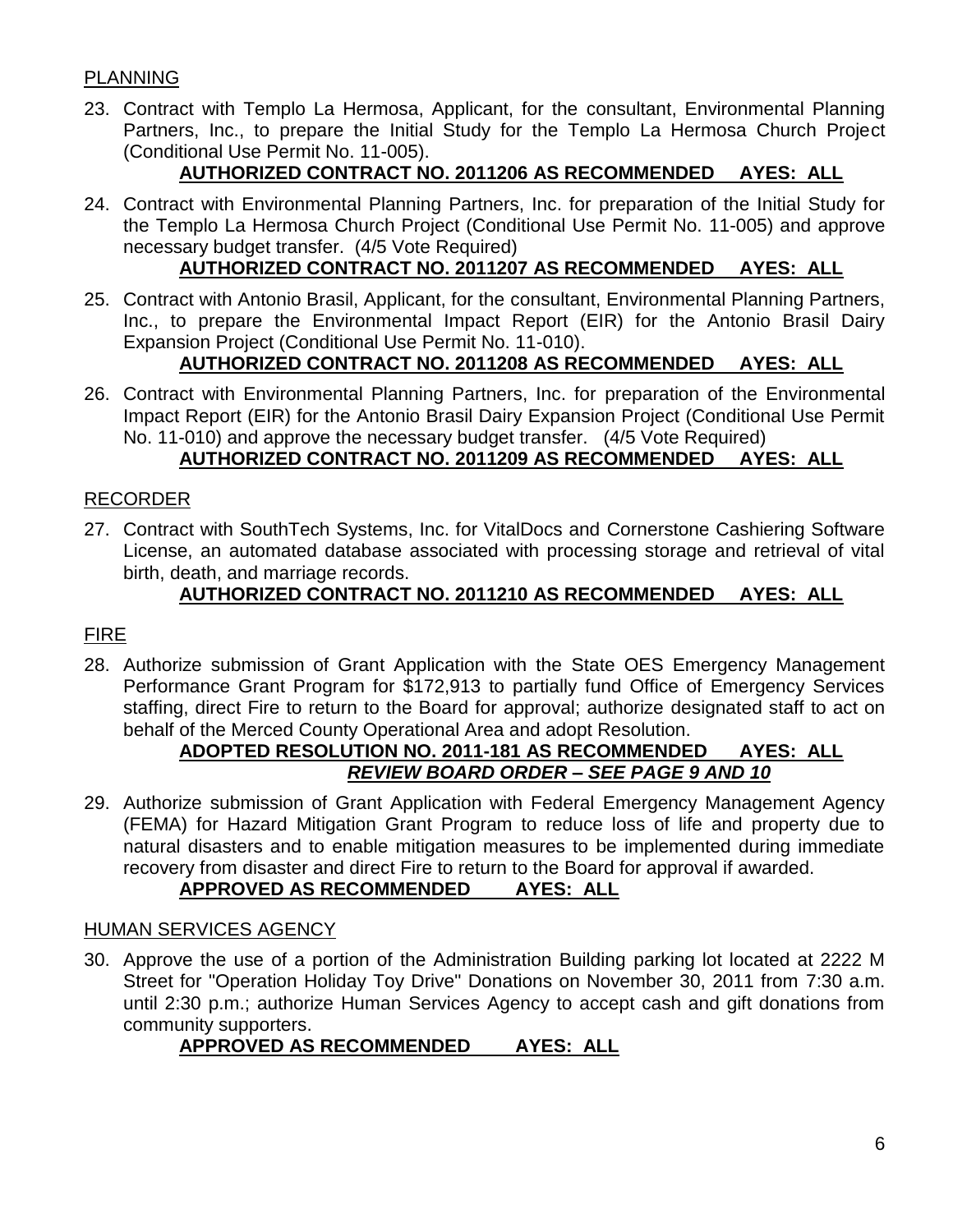#### PLANNING

23. Contract with Templo La Hermosa, Applicant, for the consultant, Environmental Planning Partners, Inc., to prepare the Initial Study for the Templo La Hermosa Church Project (Conditional Use Permit No. 11-005).

#### **AUTHORIZED CONTRACT NO. 2011206 AS RECOMMENDED AYES: ALL**

24. Contract with Environmental Planning Partners, Inc. for preparation of the Initial Study for the Templo La Hermosa Church Project (Conditional Use Permit No. 11-005) and approve necessary budget transfer. (4/5 Vote Required)

#### **AUTHORIZED CONTRACT NO. 2011207 AS RECOMMENDED AYES: ALL**

25. Contract with Antonio Brasil, Applicant, for the consultant, Environmental Planning Partners, Inc., to prepare the Environmental Impact Report (EIR) for the Antonio Brasil Dairy Expansion Project (Conditional Use Permit No. 11-010).

#### **AUTHORIZED CONTRACT NO. 2011208 AS RECOMMENDED AYES: ALL**

26. Contract with Environmental Planning Partners, Inc. for preparation of the Environmental Impact Report (EIR) for the Antonio Brasil Dairy Expansion Project (Conditional Use Permit No. 11-010) and approve the necessary budget transfer. (4/5 Vote Required)

#### **AUTHORIZED CONTRACT NO. 2011209 AS RECOMMENDED AYES: ALL**

#### RECORDER

27. Contract with SouthTech Systems, Inc. for VitalDocs and Cornerstone Cashiering Software License, an automated database associated with processing storage and retrieval of vital birth, death, and marriage records.

#### **AUTHORIZED CONTRACT NO. 2011210 AS RECOMMENDED AYES: ALL**

#### FIRE

28. Authorize submission of Grant Application with the State OES Emergency Management Performance Grant Program for \$172,913 to partially fund Office of Emergency Services staffing, direct Fire to return to the Board for approval; authorize designated staff to act on behalf of the Merced County Operational Area and adopt Resolution.

#### **ADOPTED RESOLUTION NO. 2011-181 AS RECOMMENDED AYES: ALL** *REVIEW BOARD ORDER – SEE PAGE 9 AND 10*

29. Authorize submission of Grant Application with Federal Emergency Management Agency (FEMA) for Hazard Mitigation Grant Program to reduce loss of life and property due to natural disasters and to enable mitigation measures to be implemented during immediate recovery from disaster and direct Fire to return to the Board for approval if awarded.

#### **APPROVED AS RECOMMENDED AYES: ALL**

#### HUMAN SERVICES AGENCY

30. Approve the use of a portion of the Administration Building parking lot located at 2222 M Street for "Operation Holiday Toy Drive" Donations on November 30, 2011 from 7:30 a.m. until 2:30 p.m.; authorize Human Services Agency to accept cash and gift donations from community supporters.

#### **APPROVED AS RECOMMENDED AYES: ALL**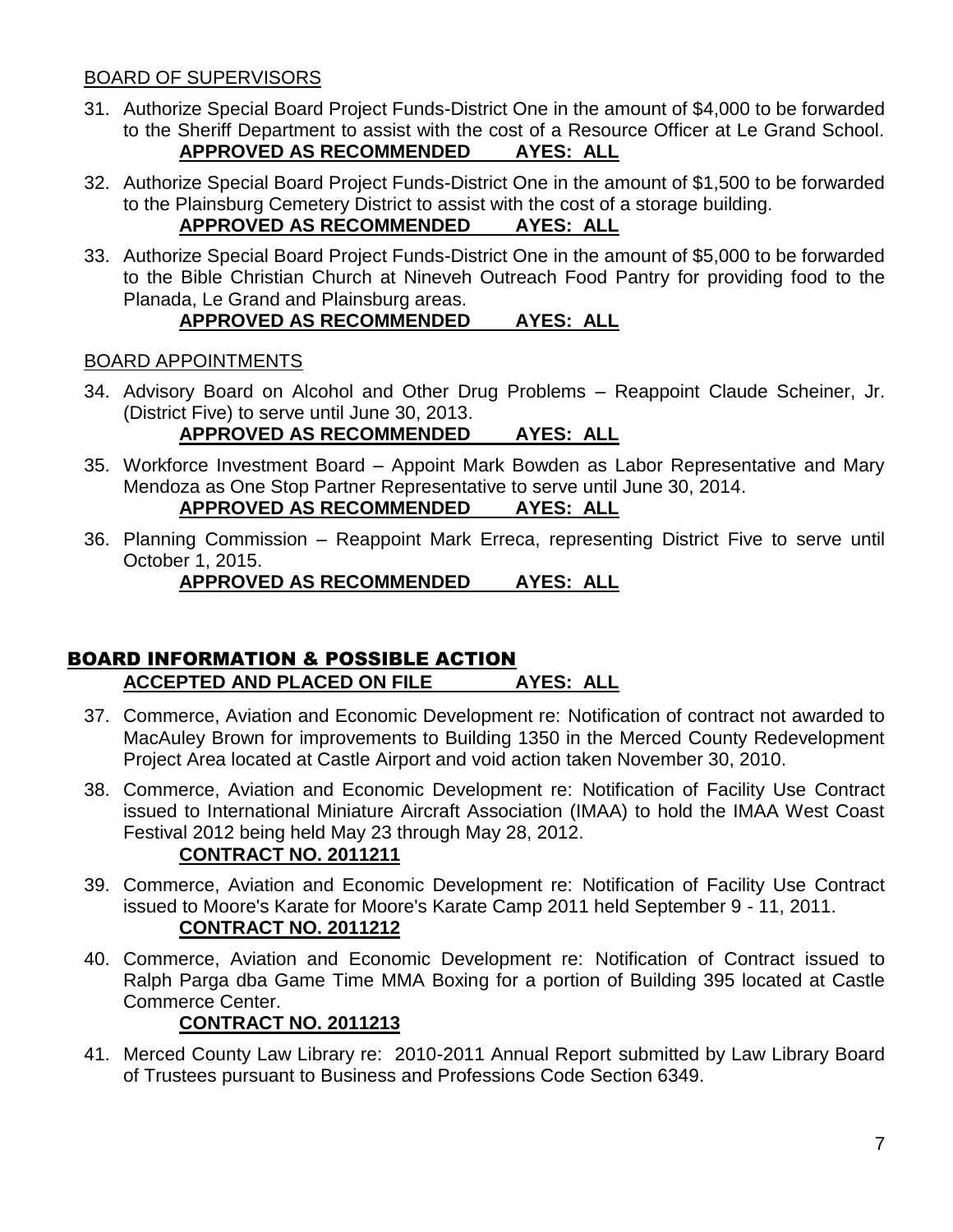#### BOARD OF SUPERVISORS

- 31. Authorize Special Board Project Funds-District One in the amount of \$4,000 to be forwarded to the Sheriff Department to assist with the cost of a Resource Officer at Le Grand School. **APPROVED AS RECOMMENDED AYES: ALL**
- 32. Authorize Special Board Project Funds-District One in the amount of \$1,500 to be forwarded to the Plainsburg Cemetery District to assist with the cost of a storage building.

#### **APPROVED AS RECOMMENDED AYES: ALL**

33. Authorize Special Board Project Funds-District One in the amount of \$5,000 to be forwarded to the Bible Christian Church at Nineveh Outreach Food Pantry for providing food to the Planada, Le Grand and Plainsburg areas.

#### **APPROVED AS RECOMMENDED AYES: ALL**

#### BOARD APPOINTMENTS

34. Advisory Board on Alcohol and Other Drug Problems – Reappoint Claude Scheiner, Jr. (District Five) to serve until June 30, 2013.

#### **APPROVED AS RECOMMENDED AYES: ALL**

- 35. Workforce Investment Board Appoint Mark Bowden as Labor Representative and Mary Mendoza as One Stop Partner Representative to serve until June 30, 2014. **APPROVED AS RECOMMENDED AYES: ALL**
- 36. Planning Commission Reappoint Mark Erreca, representing District Five to serve until October 1, 2015.

**APPROVED AS RECOMMENDED AYES: ALL**

#### BOARD INFORMATION & POSSIBLE ACTION **ACCEPTED AND PLACED ON FILE AYES: ALL**

- 37. Commerce, Aviation and Economic Development re: Notification of contract not awarded to MacAuley Brown for improvements to Building 1350 in the Merced County Redevelopment Project Area located at Castle Airport and void action taken November 30, 2010.
- 38. Commerce, Aviation and Economic Development re: Notification of Facility Use Contract issued to International Miniature Aircraft Association (IMAA) to hold the IMAA West Coast Festival 2012 being held May 23 through May 28, 2012.

#### **CONTRACT NO. 2011211**

- 39. Commerce, Aviation and Economic Development re: Notification of Facility Use Contract issued to Moore's Karate for Moore's Karate Camp 2011 held September 9 - 11, 2011. **CONTRACT NO. 2011212**
- 40. Commerce, Aviation and Economic Development re: Notification of Contract issued to Ralph Parga dba Game Time MMA Boxing for a portion of Building 395 located at Castle Commerce Center.

#### **CONTRACT NO. 2011213**

41. Merced County Law Library re: 2010-2011 Annual Report submitted by Law Library Board of Trustees pursuant to Business and Professions Code Section 6349.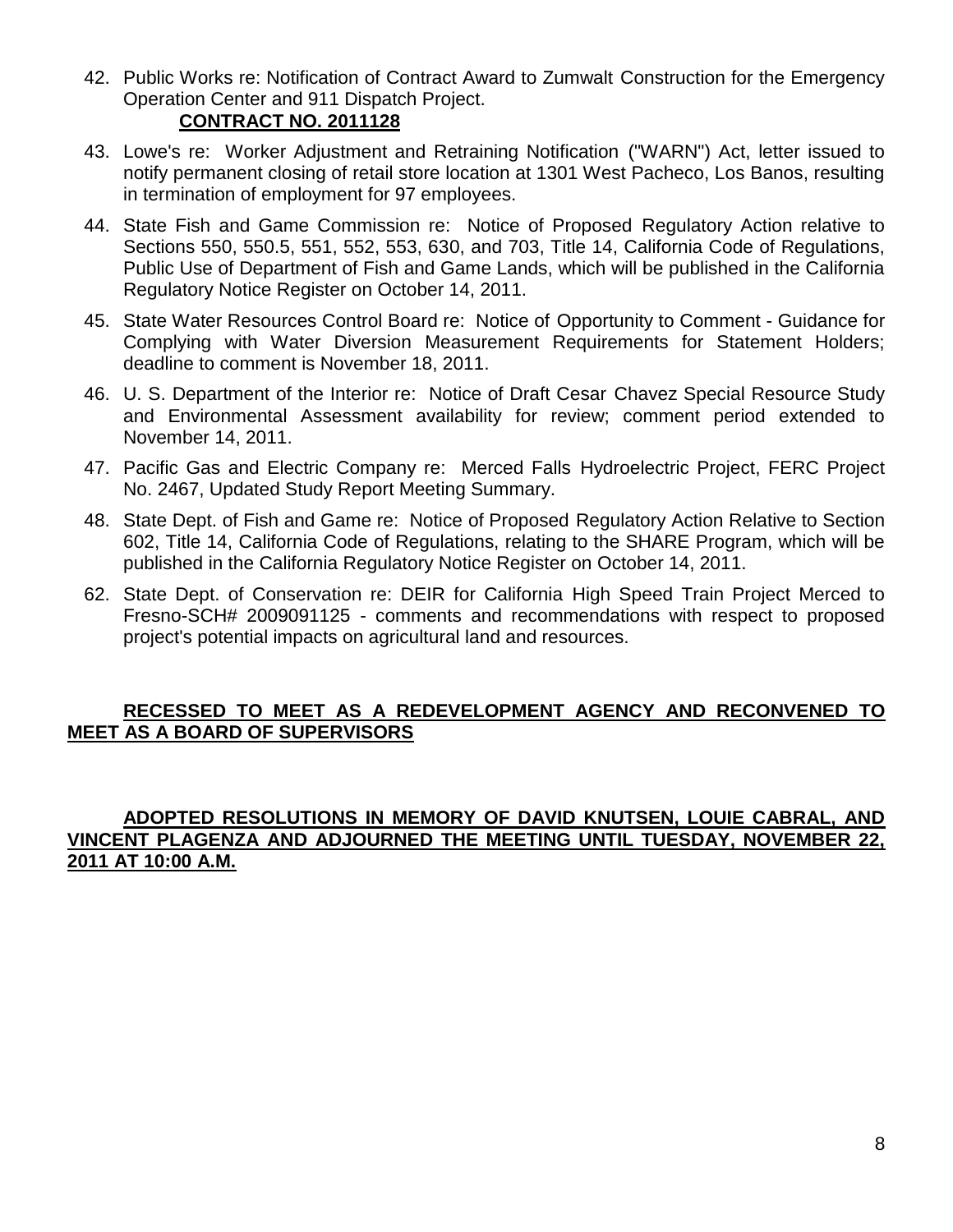- 42. Public Works re: Notification of Contract Award to Zumwalt Construction for the Emergency Operation Center and 911 Dispatch Project. **CONTRACT NO. 2011128**
- 43. Lowe's re: Worker Adjustment and Retraining Notification ("WARN") Act, letter issued to notify permanent closing of retail store location at 1301 West Pacheco, Los Banos, resulting in termination of employment for 97 employees.
- 44. State Fish and Game Commission re: Notice of Proposed Regulatory Action relative to Sections 550, 550.5, 551, 552, 553, 630, and 703, Title 14, California Code of Regulations, Public Use of Department of Fish and Game Lands, which will be published in the California Regulatory Notice Register on October 14, 2011.
- 45. State Water Resources Control Board re: Notice of Opportunity to Comment Guidance for Complying with Water Diversion Measurement Requirements for Statement Holders; deadline to comment is November 18, 2011.
- 46. U. S. Department of the Interior re: Notice of Draft Cesar Chavez Special Resource Study and Environmental Assessment availability for review; comment period extended to November 14, 2011.
- 47. Pacific Gas and Electric Company re: Merced Falls Hydroelectric Project, FERC Project No. 2467, Updated Study Report Meeting Summary.
- 48. State Dept. of Fish and Game re: Notice of Proposed Regulatory Action Relative to Section 602, Title 14, California Code of Regulations, relating to the SHARE Program, which will be published in the California Regulatory Notice Register on October 14, 2011.
- 62. State Dept. of Conservation re: DEIR for California High Speed Train Project Merced to Fresno-SCH# 2009091125 - comments and recommendations with respect to proposed project's potential impacts on agricultural land and resources.

#### **RECESSED TO MEET AS A REDEVELOPMENT AGENCY AND RECONVENED TO MEET AS A BOARD OF SUPERVISORS**

#### **ADOPTED RESOLUTIONS IN MEMORY OF DAVID KNUTSEN, LOUIE CABRAL, AND VINCENT PLAGENZA AND ADJOURNED THE MEETING UNTIL TUESDAY, NOVEMBER 22, 2011 AT 10:00 A.M.**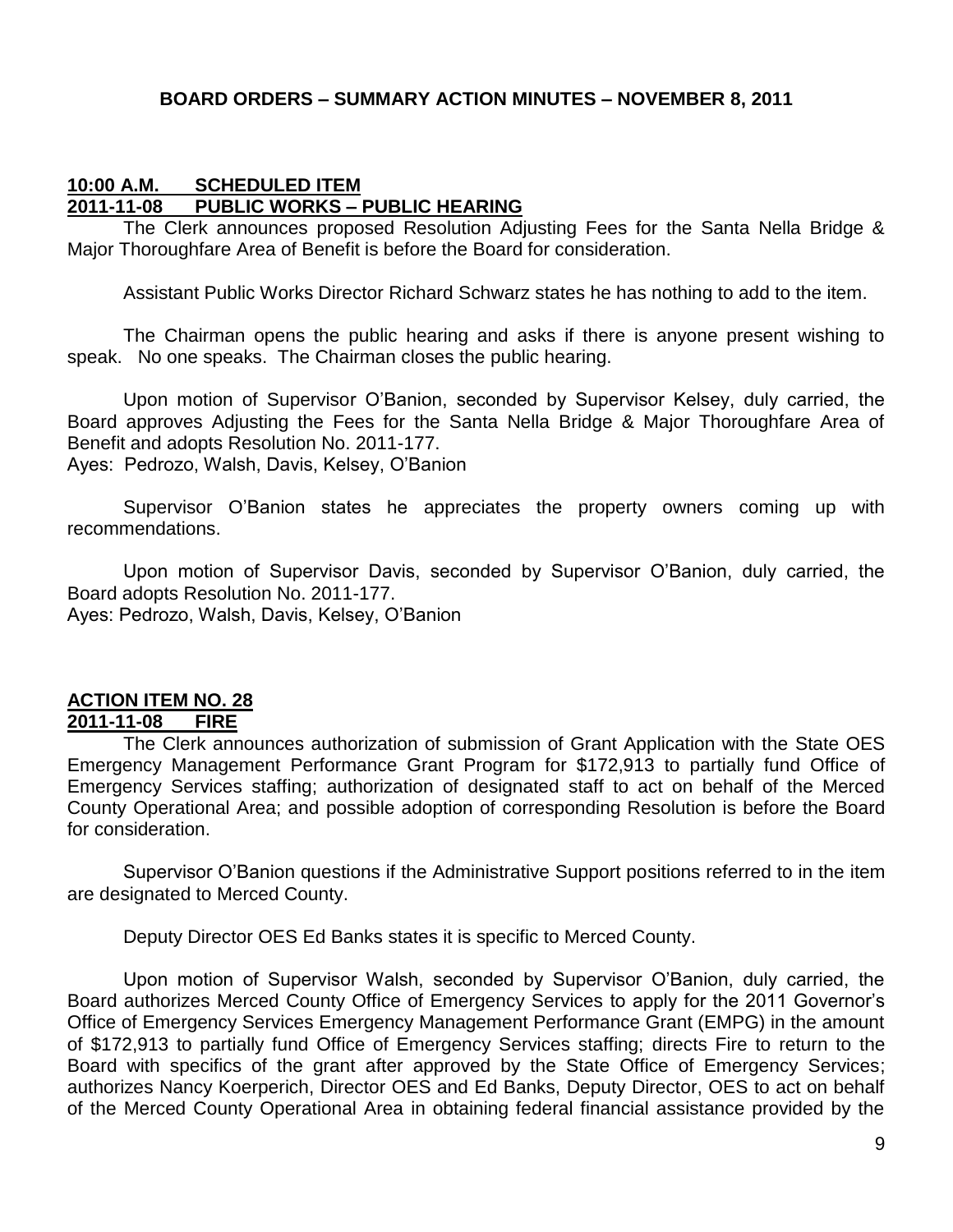#### **BOARD ORDERS – SUMMARY ACTION MINUTES – NOVEMBER 8, 2011**

#### **10:00 A.M. SCHEDULED ITEM 2011-11-08 PUBLIC WORKS – PUBLIC HEARING**

The Clerk announces proposed Resolution Adjusting Fees for the Santa Nella Bridge & Major Thoroughfare Area of Benefit is before the Board for consideration.

Assistant Public Works Director Richard Schwarz states he has nothing to add to the item.

The Chairman opens the public hearing and asks if there is anyone present wishing to speak. No one speaks. The Chairman closes the public hearing.

Upon motion of Supervisor O'Banion, seconded by Supervisor Kelsey, duly carried, the Board approves Adjusting the Fees for the Santa Nella Bridge & Major Thoroughfare Area of Benefit and adopts Resolution No. 2011-177.

Ayes: Pedrozo, Walsh, Davis, Kelsey, O'Banion

Supervisor O'Banion states he appreciates the property owners coming up with recommendations.

Upon motion of Supervisor Davis, seconded by Supervisor O'Banion, duly carried, the Board adopts Resolution No. 2011-177. Ayes: Pedrozo, Walsh, Davis, Kelsey, O'Banion

### **ACTION ITEM NO. 28**

#### **2011-11-08 FIRE**

The Clerk announces authorization of submission of Grant Application with the State OES Emergency Management Performance Grant Program for \$172,913 to partially fund Office of Emergency Services staffing; authorization of designated staff to act on behalf of the Merced County Operational Area; and possible adoption of corresponding Resolution is before the Board for consideration.

Supervisor O'Banion questions if the Administrative Support positions referred to in the item are designated to Merced County.

Deputy Director OES Ed Banks states it is specific to Merced County.

Upon motion of Supervisor Walsh, seconded by Supervisor O'Banion, duly carried, the Board authorizes Merced County Office of Emergency Services to apply for the 2011 Governor's Office of Emergency Services Emergency Management Performance Grant (EMPG) in the amount of \$172,913 to partially fund Office of Emergency Services staffing; directs Fire to return to the Board with specifics of the grant after approved by the State Office of Emergency Services; authorizes Nancy Koerperich, Director OES and Ed Banks, Deputy Director, OES to act on behalf of the Merced County Operational Area in obtaining federal financial assistance provided by the